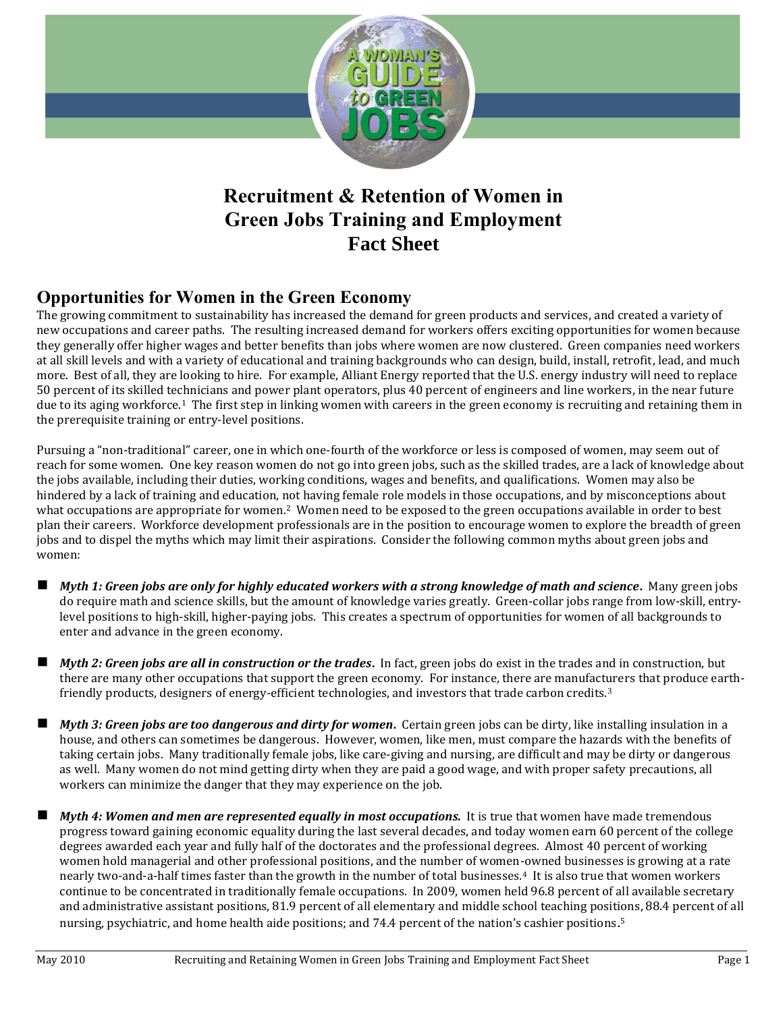

# **Recruitment & Retention of Women in Green Jobs Training and Employment Fact Sheet**

# **Opportunities for Women in the Green Economy**

The growing commitment to sustainability has increased the demand for green products and services, and created a variety of new occupations and career paths. The resulting increased demand for workers offers exciting opportunities for women because they generally offer higher wages and better benefits than jobs where women are now clustered. Green companies need workers at all skill levels and with a variety of educational and training backgrounds who can design, build, install, retrofit, lead, and much more. Best of all, they are looking to hire. For example, Alliant Energy reported that the U.S. energy industry will need to replace 50 percent of its skilled technicians and power plant operators, plus 40 percent of engineers and line workers, in the near future due to its aging workforce.1 The first step in linking women with careers in the green economy is recruiting and retaining them in the prerequisite training or entry-level positions.

Pursuing a "non-traditional" career, one in which one-fourth of the workforce or less is composed of women, may seem out of reach for some women. One key reason women do not go into green jobs, such as the skilled trades, are a lack of knowledge about the jobs available, including their duties, working conditions, wages and benefits, and qualifications. Women may also be hindered by a lack of training and education, not having female role models in those occupations, and by misconceptions about what occupations are appropriate for women.<sup>2</sup> Women need to be exposed to the green occupations available in order to best plan their careers. Workforce development professionals are in the position to encourage women to explore the breadth of green jobs and to dispel the myths which may limit their aspirations. Consider the following common myths about green jobs and women:

- *Myth 1: Green jobs are only for highly educated workers with a strong knowledge of math and science***.** Many green jobs do require math and science skills, but the amount of knowledge varies greatly. Green-collar jobs range from low-skill, entrylevel positions to high-skill, higher-paying jobs. This creates a spectrum of opportunities for women of all backgrounds to enter and advance in the green economy.
- *Myth 2: Green jobs are all in construction or the trades***.** In fact, green jobs do exist in the trades and in construction, but there are many other occupations that support the green economy. For instance, there are manufacturers that produce earthfriendly products, designers of energy-efficient technologies, and investors that trade carbon credits.<sup>3</sup>
- *Myth 3: Green jobs are too dangerous and dirty for women***.** Certain green jobs can be dirty, like installing insulation in a house, and others can sometimes be dangerous. However, women, like men, must compare the hazards with the benefits of taking certain jobs. Many traditionally female jobs, like care-giving and nursing, are difficult and may be dirty or dangerous as well. Many women do not mind getting dirty when they are paid a good wage, and with proper safety precautions, all workers can minimize the danger that they may experience on the job.
- *Myth 4: Women and men are represented equally in most occupations.* It is true that women have made tremendous progress toward gaining economic equality during the last several decades, and today women earn 60 percent of the college degrees awarded each year and fully half of the doctorates and the professional degrees. Almost 40 percent of working women hold managerial and other professional positions, and the number of women-owned businesses is growing at a rate nearly two-and-a-half times faster than the growth in the number of total businesses.4 It is also true that women workers continue to be concentrated in traditionally female occupations. In 2009, women held 96.8 percent of all available secretary and administrative assistant positions, 81.9 percent of all elementary and middle school teaching positions, 88.4 percent of all nursing, psychiatric, and home health aide positions; and 74.4 percent of the nation's cashier positions.<sup>5</sup>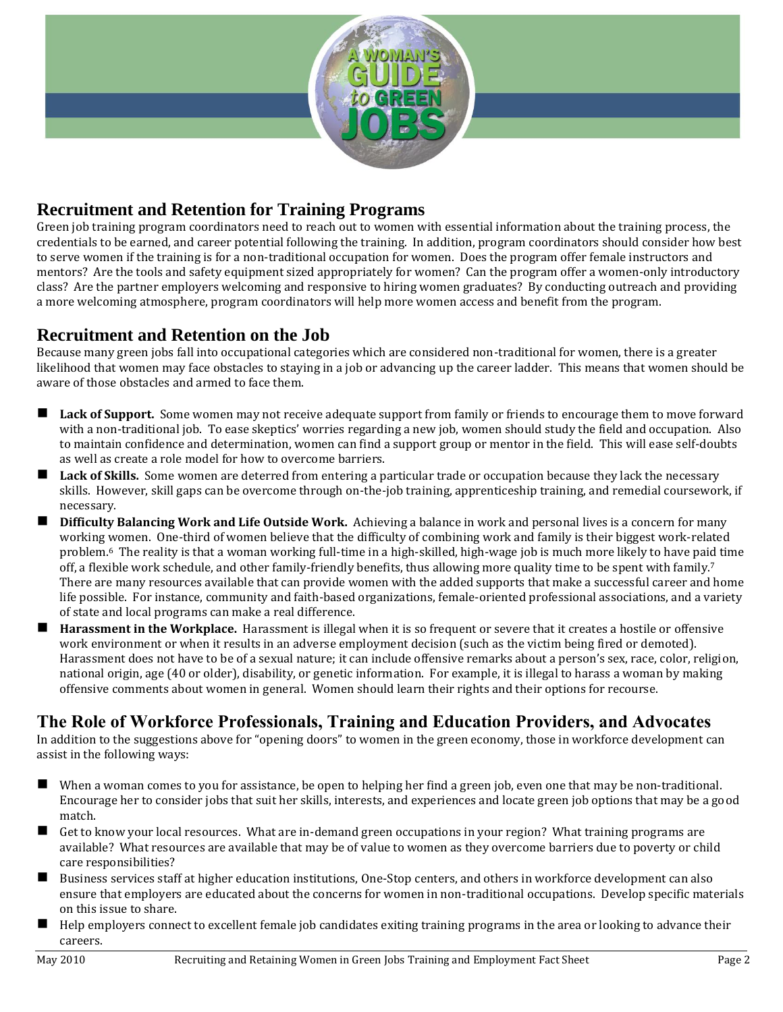

# **Recruitment and Retention for Training Programs**

Green job training program coordinators need to reach out to women with essential information about the training process, the credentials to be earned, and career potential following the training. In addition, program coordinators should consider how best to serve women if the training is for a non-traditional occupation for women. Does the program offer female instructors and mentors? Are the tools and safety equipment sized appropriately for women? Can the program offer a women-only introductory class? Are the partner employers welcoming and responsive to hiring women graduates? By conducting outreach and providing a more welcoming atmosphere, program coordinators will help more women access and benefit from the program.

### **Recruitment and Retention on the Job**

Because many green jobs fall into occupational categories which are considered non-traditional for women, there is a greater likelihood that women may face obstacles to staying in a job or advancing up the career ladder. This means that women should be aware of those obstacles and armed to face them.

- **Lack of Support.** Some women may not receive adequate support from family or friends to encourage them to move forward with a non-traditional job. To ease skeptics' worries regarding a new job, women should study the field and occupation. Also to maintain confidence and determination, women can find a support group or mentor in the field. This will ease self-doubts as well as create a role model for how to overcome barriers.
- **Lack of Skills.** Some women are deterred from entering a particular trade or occupation because they lack the necessary skills. However, skill gaps can be overcome through on-the-job training, apprenticeship training, and remedial coursework, if necessary.
- **Difficulty Balancing Work and Life Outside Work.** Achieving a balance in work and personal lives is a concern for many working women. One-third of women believe that the difficulty of combining work and family is their biggest work-related problem.<sup>6</sup> The reality is that a woman working full-time in a high-skilled, high-wage job is much more likely to have paid time off, a flexible work schedule, and other family-friendly benefits, thus allowing more quality time to be spent with family.<sup>7</sup> There are many resources available that can provide women with the added supports that make a successful career and home life possible. For instance, community and faith-based organizations, female-oriented professional associations, and a variety of state and local programs can make a real difference.
- **Harassment in the Workplace.** Harassment is illegal when it is so frequent or severe that it creates a hostile or offensive work environment or when it results in an adverse employment decision (such as the victim being fired or demoted). Harassment does not have to be of a sexual nature; it can include offensive remarks about a person's sex, race, color, religion, national origin, age (40 or older), disability, or genetic information. For example, it is illegal to harass a woman by making offensive comments about women in general. Women should learn their rights and their options for recourse.

## **The Role of Workforce Professionals, Training and Education Providers, and Advocates**

In addition to the suggestions above for "opening doors" to women in the green economy, those in workforce development can assist in the following ways:

- When a woman comes to you for assistance, be open to helping her find a green job, even one that may be non-traditional. Encourage her to consider jobs that suit her skills, interests, and experiences and locate green job options that may be a good match.
- Get to know your local resources. What are in-demand green occupations in your region? What training programs are available? What resources are available that may be of value to women as they overcome barriers due to poverty or child care responsibilities?
- Business services staff at higher education institutions, One-Stop centers, and others in workforce development can also ensure that employers are educated about the concerns for women in non-traditional occupations. Develop specific materials on this issue to share.
- Help employers connect to excellent female job candidates exiting training programs in the area or looking to advance their careers.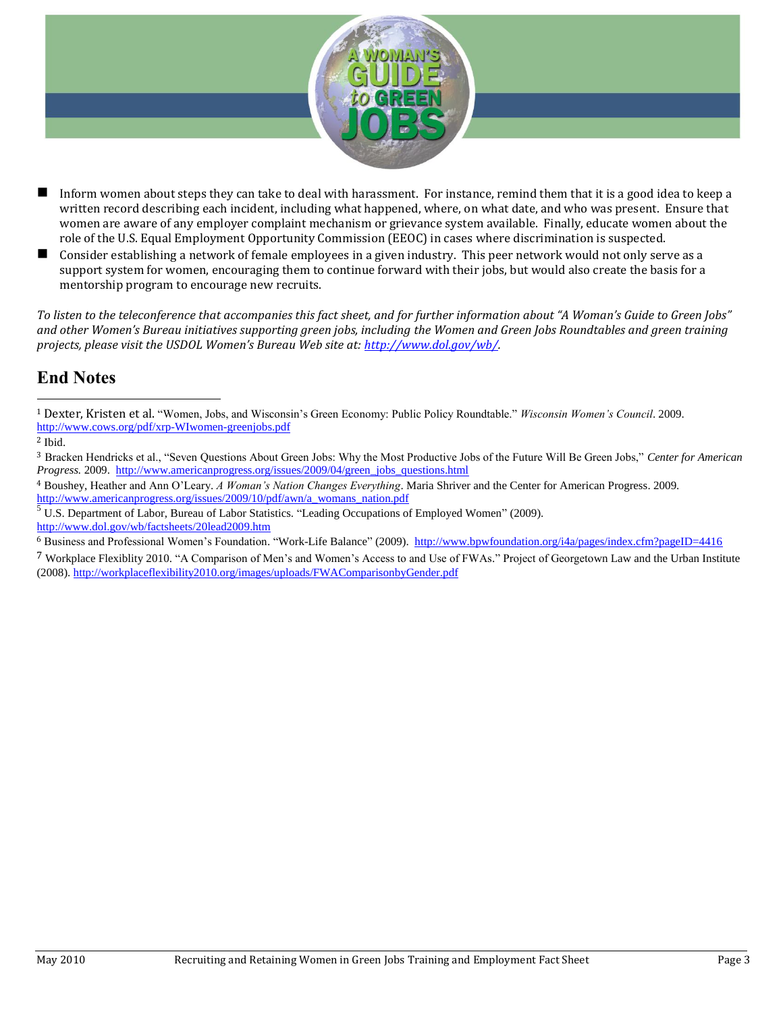

- Inform women about steps they can take to deal with harassment. For instance, remind them that it is a good idea to keep a written record describing each incident, including what happened, where, on what date, and who was present. Ensure that women are aware of any employer complaint mechanism or grievance system available. Finally, educate women about the role of the U.S. Equal Employment Opportunity Commission (EEOC) in cases where discrimination is suspected.
- Consider establishing a network of female employees in a given industry. This peer network would not only serve as a support system for women, encouraging them to continue forward with their jobs, but would also create the basis for a mentorship program to encourage new recruits.

*To listen to the teleconference that accompanies this fact sheet, and for further information about "A Woman's Guide to Green Jobs"*  and other Women's Bureau initiatives supporting green jobs, including the Women and Green Jobs Roundtables and green training *projects, please visit the USDOL Women's Bureau Web site at: [http://www.dol.gov/wb/.](http://www.dol.gov/wb/)* 

# **End Notes**

<sup>2</sup> Ibid.

 $\overline{a}$ 

<http://www.dol.gov/wb/factsheets/20lead2009.htm>

7 Workplace Flexiblity 2010. "A Comparison of Men's and Women's Access to and Use of FWAs." Project of Georgetown Law and the Urban Institute (2008). <http://workplaceflexibility2010.org/images/uploads/FWAComparisonbyGender.pdf>

<sup>1</sup> Dexter, Kristen et al. "Women, Jobs, and Wisconsin's Green Economy: Public Policy Roundtable." *Wisconsin Women's Council*. 2009. <http://www.cows.org/pdf/xrp-WIwomen-greenjobs.pdf>

<sup>3</sup> Bracken Hendricks et al., "Seven Questions About Green Jobs: Why the Most Productive Jobs of the Future Will Be Green Jobs," *Center for American Progress.* 2009. [http://www.americanprogress.org/issues/2009/04/green\\_jobs\\_questions.html](http://www.americanprogress.org/issues/2009/04/green_jobs_questions.html)

<sup>4</sup> Boushey, Heather and Ann O'Leary. *A Woman's Nation Changes Everything*. Maria Shriver and the Center for American Progress. 2009. [http://www.americanprogress.org/issues/2009/10/pdf/awn/a\\_womans\\_nation.pdf](http://www.americanprogress.org/issues/2009/10/pdf/awn/a_womans_nation.pdf)

 $\overline{5}$  U.S. Department of Labor, Bureau of Labor Statistics. "Leading Occupations of Employed Women" (2009).

<sup>6</sup> Business and Professional Women's Foundation. "Work-Life Balance" (2009).<http://www.bpwfoundation.org/i4a/pages/index.cfm?pageID=4416>